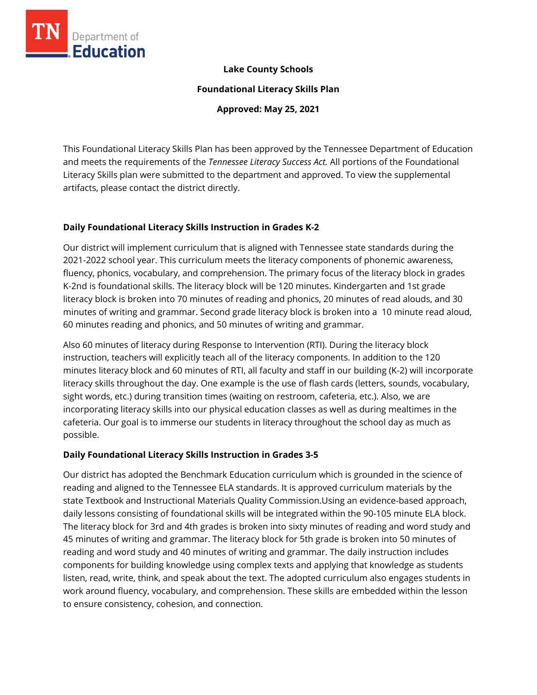

# **Lake County Schools**

**Foundational Literacy Skills Plan**

**Approved: May 25, 2021**

This Foundational Literacy Skills Plan has been approved by the Tennessee Department of Education and meets the requirements of the *Tennessee Literacy Success Act.* All portions of the Foundational Literacy Skills plan were submitted to the department and approved. To view the supplemental artifacts, please contact the district directly.

# **Daily Foundational Literacy Skills Instruction in Grades K-2**

Our district will implement curriculum that is aligned with Tennessee state standards during the 2021-2022 school year. This curriculum meets the literacy components of phonemic awareness, fluency, phonics, vocabulary, and comprehension. The primary focus of the literacy block in grades K-2nd is foundational skills. The literacy block will be 120 minutes. Kindergarten and 1st grade literacy block is broken into 70 minutes of reading and phonics, 20 minutes of read alouds, and 30 minutes of writing and grammar. Second grade literacy block is broken into a 10 minute read aloud, 60 minutes reading and phonics, and 50 minutes of writing and grammar.

Also 60 minutes of literacy during Response to Intervention (RTI). During the literacy block instruction, teachers will explicitly teach all of the literacy components. In addition to the 120 minutes literacy block and 60 minutes of RTI, all faculty and staff in our building (K-2) will incorporate literacy skills throughout the day. One example is the use of flash cards (letters, sounds, vocabulary, sight words, etc.) during transition times (waiting on restroom, cafeteria, etc.). Also, we are incorporating literacy skills into our physical education classes as well as during mealtimes in the cafeteria. Our goal is to immerse our students in literacy throughout the school day as much as possible.

# **Daily Foundational Literacy Skills Instruction in Grades 3-5**

Our district has adopted the Benchmark Education curriculum which is grounded in the science of reading and aligned to the Tennessee ELA standards. It is approved curriculum materials by the state Textbook and Instructional Materials Quality Commission.Using an evidence-based approach, daily lessons consisting of foundational skills will be integrated within the 90-105 minute ELA block. The literacy block for 3rd and 4th grades is broken into sixty minutes of reading and word study and 45 minutes of writing and grammar. The literacy block for 5th grade is broken into 50 minutes of reading and word study and 40 minutes of writing and grammar. The daily instruction includes components for building knowledge using complex texts and applying that knowledge as students listen, read, write, think, and speak about the text. The adopted curriculum also engages students in work around fluency, vocabulary, and comprehension. These skills are embedded within the lesson to ensure consistency, cohesion, and connection.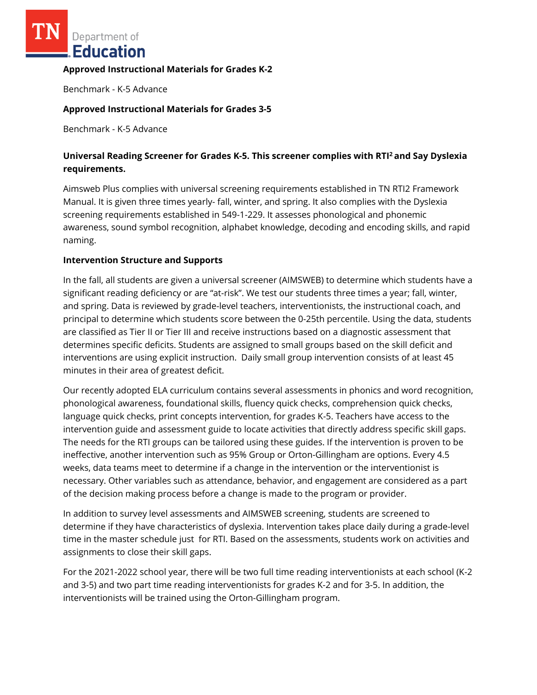Department of **Education** 

### **Approved Instructional Materials for Grades K-2**

Benchmark - K-5 Advance

# **Approved Instructional Materials for Grades 3-5**

Benchmark - K-5 Advance

# **Universal Reading Screener for Grades K-5. This screener complies with RTI<sup>2</sup>and Say Dyslexia requirements.**

Aimsweb Plus complies with universal screening requirements established in TN RTI2 Framework Manual. It is given three times yearly- fall, winter, and spring. It also complies with the Dyslexia screening requirements established in 549-1-229. It assesses phonological and phonemic awareness, sound symbol recognition, alphabet knowledge, decoding and encoding skills, and rapid naming.

# **Intervention Structure and Supports**

In the fall, all students are given a universal screener (AIMSWEB) to determine which students have a significant reading deficiency or are "at-risk". We test our students three times a year; fall, winter, and spring. Data is reviewed by grade-level teachers, interventionists, the instructional coach, and principal to determine which students score between the 0-25th percentile. Using the data, students are classified as Tier II or Tier III and receive instructions based on a diagnostic assessment that determines specific deficits. Students are assigned to small groups based on the skill deficit and interventions are using explicit instruction. Daily small group intervention consists of at least 45 minutes in their area of greatest deficit.

Our recently adopted ELA curriculum contains several assessments in phonics and word recognition, phonological awareness, foundational skills, fluency quick checks, comprehension quick checks, language quick checks, print concepts intervention, for grades K-5. Teachers have access to the intervention guide and assessment guide to locate activities that directly address specific skill gaps. The needs for the RTI groups can be tailored using these guides. If the intervention is proven to be ineffective, another intervention such as 95% Group or Orton-Gillingham are options. Every 4.5 weeks, data teams meet to determine if a change in the intervention or the interventionist is necessary. Other variables such as attendance, behavior, and engagement are considered as a part of the decision making process before a change is made to the program or provider.

In addition to survey level assessments and AIMSWEB screening, students are screened to determine if they have characteristics of dyslexia. Intervention takes place daily during a grade-level time in the master schedule just for RTI. Based on the assessments, students work on activities and assignments to close their skill gaps.

For the 2021-2022 school year, there will be two full time reading interventionists at each school (K-2 and 3-5) and two part time reading interventionists for grades K-2 and for 3-5. In addition, the interventionists will be trained using the Orton-Gillingham program.